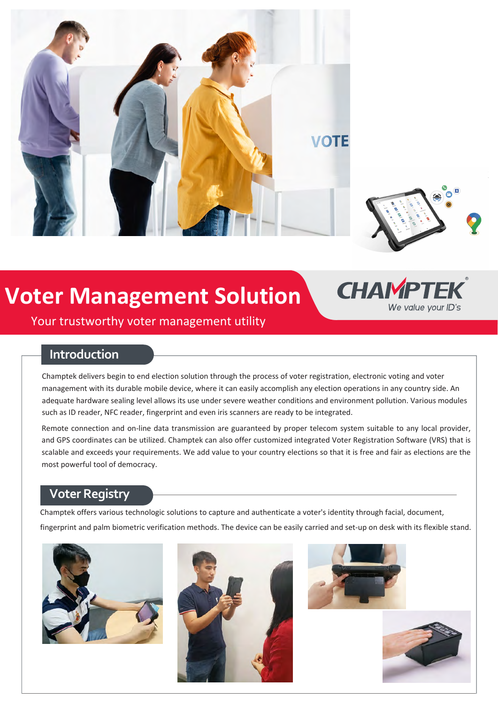



## **Voter Management Solution**



Your trustworthy voter management utility

#### **Introduction**

Champtek delivers begin to end election solution through the process of voter registration, electronic voting and voter management with its durable mobile device, where it can easily accomplish any election operations in any country side. An adequate hardware sealing level allows its use under severe weather conditions and environment pollution. Various modules such as ID reader, NFC reader, fingerprint and even iris scanners are ready to be integrated.

Remote connection and on-line data transmission are guaranteed by proper telecom system suitable to any local provider, and GPS coordinates can be utilized. Champtek can also offer customized integrated Voter Registration Software (VRS) that is scalable and exceeds your requirements. We add value to your country elections so that it is free and fair as elections are the most powerful tool of democracy.

### **Voter Registry**

Champtek offers various technologic solutions to capture and authenticate a voter's identity through facial, document, fingerprint and palm biometric verification methods. The device can be easily carried and set-up on desk with its flexible stand.